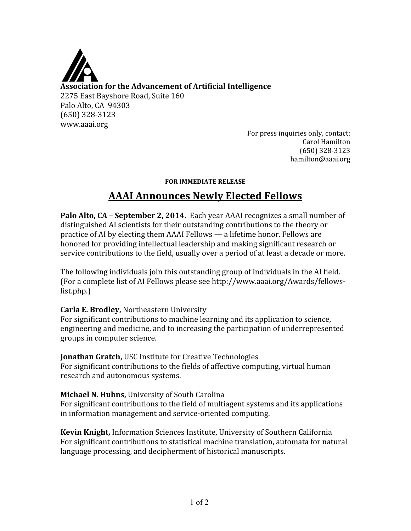

For press inquiries only, contact: Carol Hamilton (650) 328‐3123 hamilton@aaai.org

#### **FOR IMMEDIATE RELEASE**

# **AAAI Announces Newly Elected Fellows**

**Palo Alto, CA – September 2, 2014.** Each year AAAI recognizes a small number of distinguished AI scientists for their outstanding contributions to the theory or practice of AI by electing them AAAI Fellows — a lifetime honor. Fellows are honored for providing intellectual leadership and making significant research or service contributions to the field, usually over a period of at least a decade or more.

The following individuals join this outstanding group of individuals in the AI field. (For a complete list of AI Fellows please see http://www.aaai.org/Awards/fellows‐ list.php.)

#### **Carla E. Brodley,** Northeastern University

For significant contributions to machine learning and its application to science, engineering and medicine, and to increasing the participation of underrepresented groups in computer science.

**Jonathan Gratch,** USC Institute for Creative Technologies For significant contributions to the fields of affective computing, virtual human research and autonomous systems.

# **Michael N. Huhns,** University of South Carolina

For significant contributions to the field of multiagent systems and its applications in information management and service‐oriented computing.

**Kevin Knight,** Information Sciences Institute, University of Southern California For significant contributions to statistical machine translation, automata for natural language processing, and decipherment of historical manuscripts.